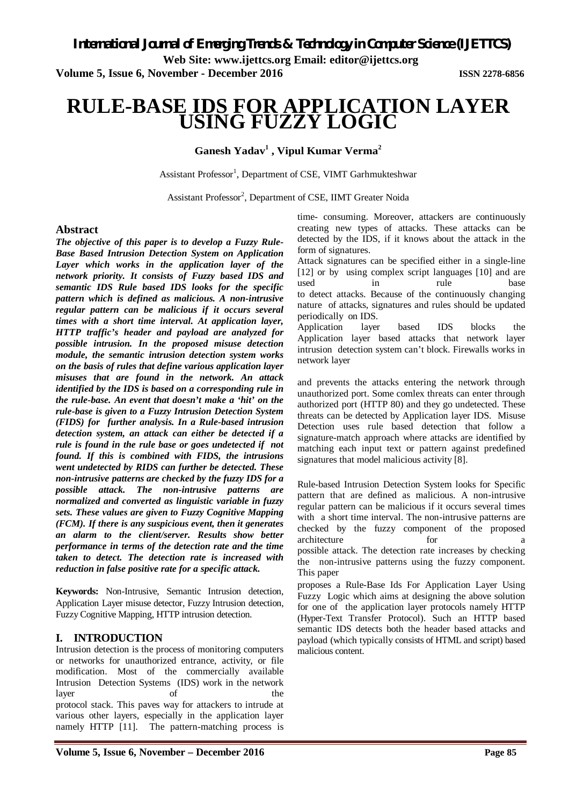**Web Site: www.ijettcs.org Email: editor@ijettcs.org** 

**Volume 5, Issue 6, November - December 2016 ISSN 2278-6856**

# **RULE-BASE IDS FOR APPLICATION LAYER USING FUZZY LOGIC**

# **Ganesh Yadav<sup>1</sup> , Vipul Kumar Verma<sup>2</sup>**

Assistant Professor<sup>1</sup>, Department of CSE, VIMT Garhmukteshwar

Assistant Professor<sup>2</sup>, Department of CSE, IIMT Greater Noida

# **Abstract**

*The objective of this paper is to develop a Fuzzy Rule-Base Based Intrusion Detection System on Application Layer which works in the application layer of the network priority. It consists of Fuzzy based IDS and semantic IDS Rule based IDS looks for the specific pattern which is defined as malicious. A non-intrusive regular pattern can be malicious if it occurs several times with a short time interval. At application layer, HTTP traffic's header and payload are analyzed for possible intrusion. In the proposed misuse detection module, the semantic intrusion detection system works on the basis of rules that define various application layer misuses that are found in the network. An attack identified by the IDS is based on a corresponding rule in the rule-base. An event that doesn't make a 'hit' on the rule-base is given to a Fuzzy Intrusion Detection System (FIDS) for further analysis. In a Rule-based intrusion detection system, an attack can either be detected if a rule is found in the rule base or goes undetected if not found. If this is combined with FIDS, the intrusions went undetected by RIDS can further be detected. These non-intrusive patterns are checked by the fuzzy IDS for a possible attack. The non-intrusive patterns are normalized and converted as linguistic variable in fuzzy sets. These values are given to Fuzzy Cognitive Mapping (FCM). If there is any suspicious event, then it generates an alarm to the client/server. Results show better performance in terms of the detection rate and the time taken to detect. The detection rate is increased with reduction in false positive rate for a specific attack.* 

**Keywords:** Non-Intrusive, Semantic Intrusion detection, Application Layer misuse detector, Fuzzy Intrusion detection, Fuzzy Cognitive Mapping, HTTP intrusion detection.

# **I. INTRODUCTION**

Intrusion detection is the process of monitoring computers or networks for unauthorized entrance, activity, or file modification. Most of the commercially available Intrusion Detection Systems (IDS) work in the network layer of the protocol stack. This paves way for attackers to intrude at various other layers, especially in the application layer namely HTTP [11]. The pattern-matching process is

time- consuming. Moreover, attackers are continuously creating new types of attacks. These attacks can be detected by the IDS, if it knows about the attack in the form of signatures.

Attack signatures can be specified either in a single-line [12] or by using complex script languages [10] and are used in rule base to detect attacks. Because of the continuously changing nature of attacks, signatures and rules should be updated periodically on IDS.

Application layer based IDS blocks the Application layer based attacks that network layer intrusion detection system can't block. Firewalls works in network layer

and prevents the attacks entering the network through unauthorized port. Some comlex threats can enter through authorized port (HTTP 80) and they go undetected. These threats can be detected by Application layer IDS. Misuse Detection uses rule based detection that follow a signature-match approach where attacks are identified by matching each input text or pattern against predefined signatures that model malicious activity [8].

Rule-based Intrusion Detection System looks for Specific pattern that are defined as malicious. A non-intrusive regular pattern can be malicious if it occurs several times with a short time interval. The non-intrusive patterns are checked by the fuzzy component of the proposed architecture for a for a set of  $\alpha$ possible attack. The detection rate increases by checking the non-intrusive patterns using the fuzzy component. This paper

proposes a Rule-Base Ids For Application Layer Using Fuzzy Logic which aims at designing the above solution for one of the application layer protocols namely HTTP (Hyper-Text Transfer Protocol). Such an HTTP based semantic IDS detects both the header based attacks and payload (which typically consists of HTML and script) based malicious content.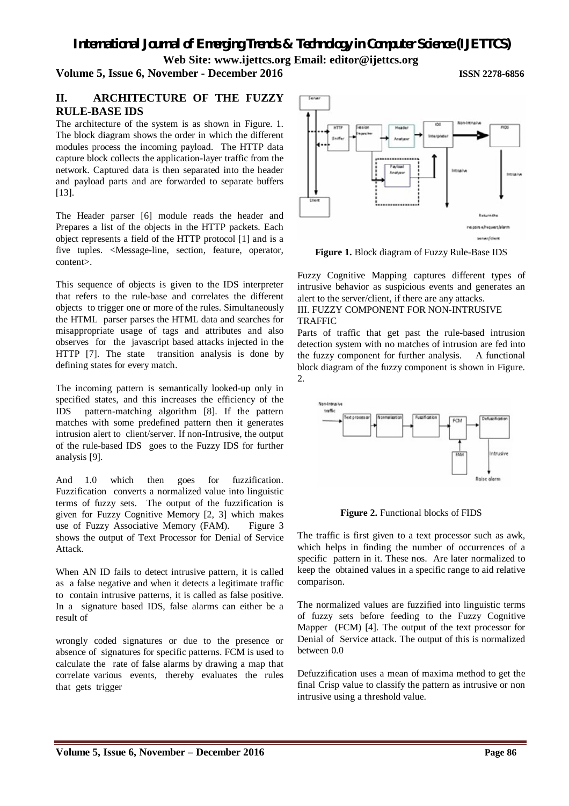*International Journal of Emerging Trends & Technology in Computer Science (IJETTCS)*

**Web Site: www.ijettcs.org Email: editor@ijettcs.org** 

### **Volume 5, Issue 6, November - December 2016 ISSN 2278-6856**

# **II. ARCHITECTURE OF THE FUZZY RULE-BASE IDS**

The architecture of the system is as shown in Figure. 1. The block diagram shows the order in which the different modules process the incoming payload. The HTTP data capture block collects the application-layer traffic from the network. Captured data is then separated into the header and payload parts and are forwarded to separate buffers [13].

The Header parser [6] module reads the header and Prepares a list of the objects in the HTTP packets. Each object represents a field of the HTTP protocol [1] and is a five tuples. <Message-line, section, feature, operator, content>.

This sequence of objects is given to the IDS interpreter that refers to the rule-base and correlates the different objects to trigger one or more of the rules. Simultaneously the HTML parser parses the HTML data and searches for misappropriate usage of tags and attributes and also observes for the javascript based attacks injected in the HTTP [7]. The state transition analysis is done by defining states for every match.

The incoming pattern is semantically looked-up only in specified states, and this increases the efficiency of the IDS pattern-matching algorithm [8]. If the pattern matches with some predefined pattern then it generates intrusion alert to client/server. If non-Intrusive, the output of the rule-based IDS goes to the Fuzzy IDS for further analysis [9].

And 1.0 which then goes for fuzzification. Fuzzification converts a normalized value into linguistic terms of fuzzy sets. The output of the fuzzification is given for Fuzzy Cognitive Memory [2, 3] which makes use of Fuzzy Associative Memory (FAM). Figure 3 shows the output of Text Processor for Denial of Service Attack.

When AN ID fails to detect intrusive pattern, it is called as a false negative and when it detects a legitimate traffic to contain intrusive patterns, it is called as false positive. In a signature based IDS, false alarms can either be a result of

wrongly coded signatures or due to the presence or absence of signatures for specific patterns. FCM is used to calculate the rate of false alarms by drawing a map that correlate various events, thereby evaluates the rules that gets trigger



**Figure 1.** Block diagram of Fuzzy Rule-Base IDS

Fuzzy Cognitive Mapping captures different types of intrusive behavior as suspicious events and generates an alert to the server/client, if there are any attacks. III. FUZZY COMPONENT FOR NON-INTRUSIVE

### TRAFFIC

Parts of traffic that get past the rule-based intrusion detection system with no matches of intrusion are fed into the fuzzy component for further analysis. A functional block diagram of the fuzzy component is shown in Figure.  $2<sub>1</sub>$ 



**Figure 2.** Functional blocks of FIDS

The traffic is first given to a text processor such as awk, which helps in finding the number of occurrences of a specific pattern in it. These nos. Are later normalized to keep the obtained values in a specific range to aid relative comparison.

The normalized values are fuzzified into linguistic terms of fuzzy sets before feeding to the Fuzzy Cognitive Mapper (FCM) [4]. The output of the text processor for Denial of Service attack. The output of this is normalized between 0.0

Defuzzification uses a mean of maxima method to get the final Crisp value to classify the pattern as intrusive or non intrusive using a threshold value.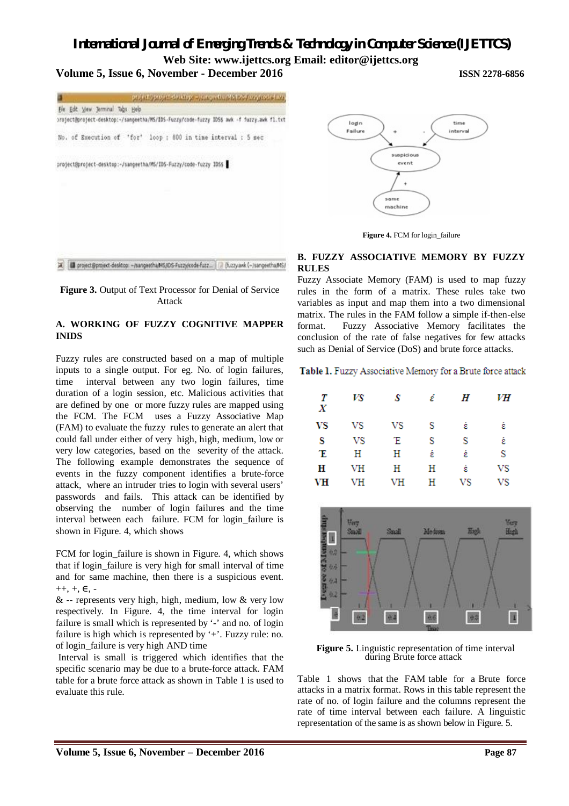# *International Journal of Emerging Trends & Technology in Computer Science (IJETTCS)*

**Web Site: www.ijettcs.org Email: editor@ijettcs.org** 

login

Failure

# **Volume 5, Issue 6, November - December 2016 ISSN 2278-6856**

project good chickens was a childfortal excepted was Ele Edt Vew Jerminal Tabs Help project@project-desktop:~/sangeetha/MS/IDS-Fuzzy/code-fuzzy IDSS awk -f fuzzy.awk fl.txt No. of Execution of 'for' loop : 600 in time interval : 5 sec project@project-desktop:~/sangeetha/MS/IDS-Fuzzy/code-fuzzy IDSS



### **Figure 3.** Output of Text Processor for Denial of Service Attack

### **A. WORKING OF FUZZY COGNITIVE MAPPER INIDS**

Fuzzy rules are constructed based on a map of multiple inputs to a single output. For eg. No. of login failures, time interval between any two login failures, time duration of a login session, etc. Malicious activities that are defined by one or more fuzzy rules are mapped using the FCM. The FCM uses a Fuzzy Associative Map (FAM) to evaluate the fuzzy rules to generate an alert that could fall under either of very high, high, medium, low or very low categories, based on the severity of the attack. The following example demonstrates the sequence of events in the fuzzy component identifies a brute-force attack, where an intruder tries to login with several users' passwords and fails. This attack can be identified by observing the number of login failures and the time interval between each failure. FCM for login\_failure is shown in Figure. 4, which shows

FCM for login failure is shown in Figure. 4, which shows that if login\_failure is very high for small interval of time and for same machine, then there is a suspicious event.  $++, +, \in, -$ 

 $&$  -- represents very high, high, medium, low  $&$  very low respectively. In Figure. 4, the time interval for login failure is small which is represented by '-' and no. of login failure is high which is represented by '+'. Fuzzy rule: no. of login\_failure is very high AND time

Interval is small is triggered which identifies that the specific scenario may be due to a brute-force attack. FAM table for a brute force attack as shown in Table 1 is used to evaluate this rule.

# **Figure 4.** FCM for login\_failure

suspicious event

 $\ddot{\phantom{0}}$ 

same machine

#### **B. FUZZY ASSOCIATIVE MEMORY BY FUZZY RULES**

Fuzzy Associate Memory (FAM) is used to map fuzzy rules in the form of a matrix. These rules take two variables as input and map them into a two dimensional matrix. The rules in the FAM follow a simple if-then-else format. Fuzzy Associative Memory facilitates the conclusion of the rate of false negatives for few attacks such as Denial of Service (DoS) and brute force attacks.

### Table 1. Fuzzy Associative Memory for a Brute force attack

| Т<br>Х | VS | S         | έ | H  | VН |
|--------|----|-----------|---|----|----|
| VS     | VS | VS        | s | έ  | έ  |
| s      | VS | Έ         | S | S  | έ  |
| Έ      | Н  | Η         | έ | έ  | s  |
| н      | VH | Η         | Н | έ  | VS |
| VH     | VH | <b>VH</b> | Н | VS | VS |



**Figure 5.** Linguistic representation of time interval during Brute force attack

Table 1 shows that the FAM table for a Brute force attacks in a matrix format. Rows in this table represent the rate of no. of login failure and the columns represent the rate of time interval between each failure. A linguistic representation of the same is as shown below in Figure. 5.

time

interval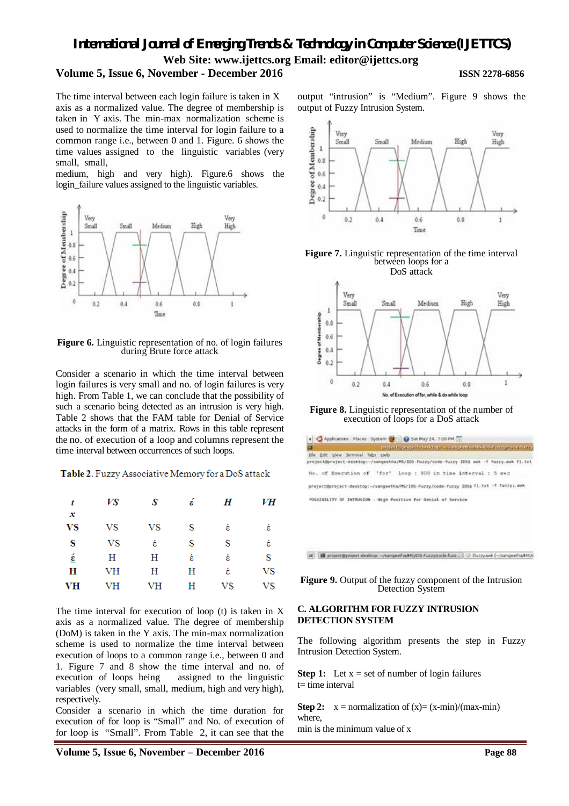# *International Journal of Emerging Trends & Technology in Computer Science (IJETTCS)* **Web Site: www.ijettcs.org Email: editor@ijettcs.org**

# **Volume 5, Issue 6, November - December 2016 ISSN 2278-6856**

The time interval between each login failure is taken in X axis as a normalized value. The degree of membership is taken in Y axis. The min-max normalization scheme is used to normalize the time interval for login failure to a common range i.e., between 0 and 1. Figure. 6 shows the time values assigned to the linguistic variables (very small, small,

medium, high and very high). Figure.6 shows the login failure values assigned to the linguistic variables.



**Figure 6.** Linguistic representation of no. of login failures during Brute force attack

Consider a scenario in which the time interval between login failures is very small and no. of login failures is very high. From Table 1, we can conclude that the possibility of such a scenario being detected as an intrusion is very high. Table 2 shows that the FAM table for Denial of Service attacks in the form of a matrix. Rows in this table represent the no. of execution of a loop and columns represent the time interval between occurrences of such loops.

Table 2. Fuzzy Associative Memory for a DoS attack

| t              | VS        | S  | έ | Η  | VH |
|----------------|-----------|----|---|----|----|
| x<br><b>VS</b> | VS        | VS | S | έ  | έ  |
| S              | VS        | έ  | S | S  | έ  |
| έ              | Н         | Η  | έ | έ  | S  |
| $\mathbf H$    | <b>VH</b> | Н  | Н | έ  | VS |
| VH             | <b>VH</b> | VH | Н | VS | VS |

The time interval for execution of loop (t) is taken in X axis as a normalized value. The degree of membership (DoM) is taken in the Y axis. The min-max normalization scheme is used to normalize the time interval between execution of loops to a common range i.e., between 0 and 1. Figure 7 and 8 show the time interval and no. of execution of loops being assigned to the linguistic variables (very small, small, medium, high and very high), respectively.

Consider a scenario in which the time duration for execution of for loop is "Small" and No. of execution of for loop is "Small". From Table 2, it can see that the output "intrusion" is "Medium". Figure 9 shows the output of Fuzzy Intrusion System.



**Figure 7.** Linguistic representation of the time interval between loops for a DoS attack



**Figure 8.** Linguistic representation of the number of execution of loops for a DoS attack



[30] [88 project@project-desktop: ~/sangeetha/MS/IDS-Puzzylcode fuzz ... [ 72 (Nzzy awk C-/sangeetha/MS/II

**Figure 9.** Output of the fuzzy component of the Intrusion Detection System

### **C. ALGORITHM FOR FUZZY INTRUSION DETECTION SYSTEM**

The following algorithm presents the step in Fuzzy Intrusion Detection System.

**Step 1:** Let  $x =$  set of number of login failures  $t=$  time interval

**Step 2:**  $x =$  normalization of  $(x) = (x - \min)/(max - \min)$ where, min is the minimum value of x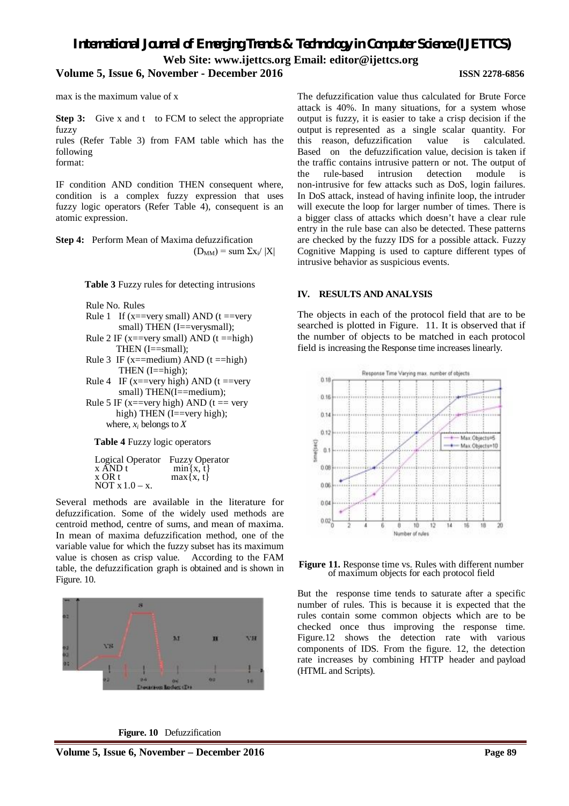# *International Journal of Emerging Trends & Technology in Computer Science (IJETTCS)* **Web Site: www.ijettcs.org Email: editor@ijettcs.org**

### **Volume 5, Issue 6, November - December 2016 ISSN 2278-6856**

max is the maximum value of x

**Step 3:** Give x and t to FCM to select the appropriate fuzzy

rules (Refer Table 3) from FAM table which has the following format:

IF condition AND condition THEN consequent where, condition is a complex fuzzy expression that uses fuzzy logic operators (Refer Table 4), consequent is an atomic expression.

**Step 4:** Perform Mean of Maxima defuzzification  $(D_{MM})$  = sum  $\Sigma x_i / |X|$ 

**Table 3** Fuzzy rules for detecting intrusions

Rule No. Rules

- Rule 1 If (x==very small) AND ( $t =$ very small) THEN (I==verysmall);
- Rule 2 IF ( $x = \text{very small}$ ) AND ( $t = \text{high}$ ) THEN (I==small);
- Rule 3 IF ( $x =$ medium) AND ( $t =$ high) THEN (I==high);
- Rule 4 IF (x==very high) AND ( $t =$ very small) THEN(I==medium);
- Rule 5 IF ( $x = \text{very high}$ ) AND ( $t = \text{very}$ high) THEN (I==very high); where,  $x_i$  belongs to  $\overline{X}$

**Table 4** Fuzzy logic operators

Logical Operator Fuzzy Operator x AND t min{x, t} x OR t max{x, t} NOT x 1.0 – x.

Several methods are available in the literature for defuzzification. Some of the widely used methods are centroid method, centre of sums, and mean of maxima. In mean of maxima defuzzification method, one of the variable value for which the fuzzy subset has its maximum value is chosen as crisp value. According to the FAM table, the defuzzification graph is obtained and is shown in Figure. 10.



**Figure. 10** Defuzzification

#### The defuzzification value thus calculated for Brute Force attack is 40%. In many situations, for a system whose output is fuzzy, it is easier to take a crisp decision if the output is represented as a single scalar quantity. For this reason, defuzzification Based on the defuzzification value, decision is taken if the traffic contains intrusive pattern or not. The output of the rule-based intrusion detection module is non-intrusive for few attacks such as DoS, login failures. In DoS attack, instead of having infinite loop, the intruder will execute the loop for larger number of times. There is a bigger class of attacks which doesn't have a clear rule entry in the rule base can also be detected. These patterns are checked by the fuzzy IDS for a possible attack. Fuzzy Cognitive Mapping is used to capture different types of intrusive behavior as suspicious events.

#### **IV. RESULTS AND ANALYSIS**

The objects in each of the protocol field that are to be searched is plotted in Figure. 11. It is observed that if the number of objects to be matched in each protocol field is increasing the Response time increases linearly.





But the response time tends to saturate after a specific number of rules. This is because it is expected that the rules contain some common objects which are to be checked once thus improving the response time. Figure.12 shows the detection rate with various components of IDS. From the figure. 12, the detection rate increases by combining HTTP header and payload (HTML and Scripts).

### **Volume 5, Issue 6, November – December 2016 Page 89**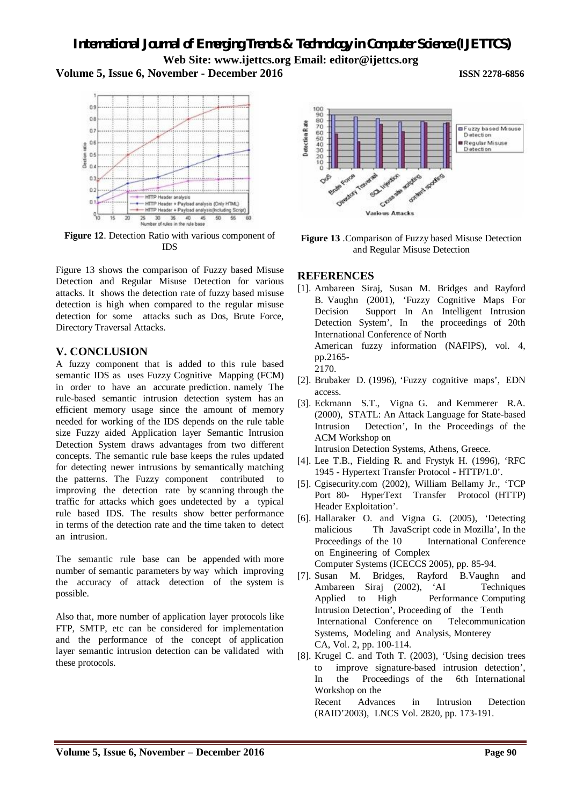**Web Site: www.ijettcs.org Email: editor@ijettcs.org** 

# **Volume 5, Issue 6, November - December 2016 ISSN 2278-6856**



**Figure 12**. Detection Ratio with various component of IDS

Figure 13 shows the comparison of Fuzzy based Misuse Detection and Regular Misuse Detection for various attacks. It shows the detection rate of fuzzy based misuse detection is high when compared to the regular misuse detection for some attacks such as Dos, Brute Force, Directory Traversal Attacks.

# **V. CONCLUSION**

A fuzzy component that is added to this rule based semantic IDS as uses Fuzzy Cognitive Mapping (FCM) in order to have an accurate prediction. namely The rule-based semantic intrusion detection system has an efficient memory usage since the amount of memory needed for working of the IDS depends on the rule table size Fuzzy aided Application layer Semantic Intrusion Detection System draws advantages from two different concepts. The semantic rule base keeps the rules updated for detecting newer intrusions by semantically matching the patterns. The Fuzzy component contributed to improving the detection rate by scanning through the traffic for attacks which goes undetected by a typical rule based IDS. The results show better performance in terms of the detection rate and the time taken to detect an intrusion.

The semantic rule base can be appended with more number of semantic parameters by way which improving the accuracy of attack detection of the system is possible.

Also that, more number of application layer protocols like FTP, SMTP, etc can be considered for implementation and the performance of the concept of application layer semantic intrusion detection can be validated with these protocols.



**Figure 13** .Comparison of Fuzzy based Misuse Detection and Regular Misuse Detection

# **REFERENCES**

- [1]. Ambareen Siraj, Susan M. Bridges and Rayford B. Vaughn (2001), 'Fuzzy Cognitive Maps For Decision Support In An Intelligent Intrusion Detection System', In the proceedings of 20th International Conference of North American fuzzy information (NAFIPS), vol. 4, pp.2165- 2170.
- [2]. Brubaker D. (1996), 'Fuzzy cognitive maps', EDN access.
- [3]. Eckmann S.T., Vigna G. and Kemmerer R.A. (2000), STATL: An Attack Language for State-based Intrusion Detection', In the Proceedings of the ACM Workshop on

Intrusion Detection Systems, Athens, Greece.

- [4]. Lee T.B., Fielding R. and Frystyk H. (1996), 'RFC 1945 - Hypertext Transfer Protocol - HTTP/1.0'.
- [5]. Cgisecurity.com (2002), William Bellamy Jr., 'TCP Port 80- HyperText Transfer Protocol (HTTP) Header Exploitation'.
- [6]. Hallaraker O. and Vigna G. (2005), 'Detecting malicious Th JavaScript code in Mozilla', In the Proceedings of the 10 International Conference on Engineering of Complex
- Computer Systems (ICECCS 2005), pp. 85-94.<br>Susan M. Bridges, Ravford B.Vaughr [7]. Susan M. Bridges, Rayford B.Vaughn and Ambareen Siraj (2002), 'AI Techniques Applied to High Performance Computing Intrusion Detection', Proceeding of the Tenth International Conference on Telecommunication Systems, Modeling and Analysis, Monterey CA, Vol. 2, pp. 100-114.
- [8]. Krugel C. and Toth T. (2003), 'Using decision trees to improve signature-based intrusion detection', In the Proceedings of the 6th International Workshop on the Recent Advances in Intrusion Detection

(RAID'2003), LNCS Vol. 2820, pp. 173-191.